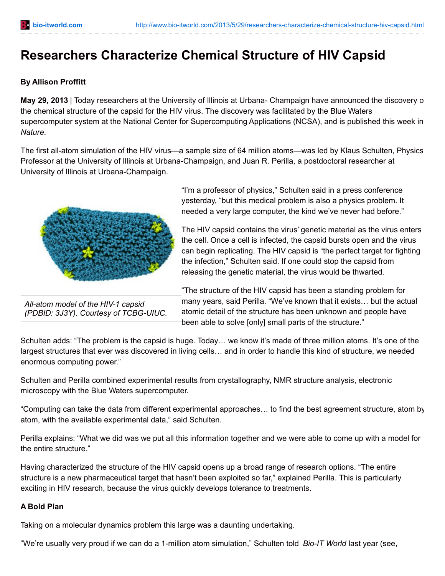## **Researchers Characterize Chemical Structure of HIV Capsid**

## **By Allison Proffitt**

**May 29, 2013** | Today researchers at the University of Illinois at Urbana- Champaign have announced the discovery of the chemical structure of the capsid for the HIV virus. The discovery was facilitated by the Blue Waters supercomputer system at the National Center for Supercomputing Applications (NCSA), and is published this week in *Nature*.

The first all-atom simulation of the HIV virus—a sample size of 64 million atoms—was led by Klaus Schulten, Physics Professor at the University of Illinois at Urbana-Champaign, and Juan R. Perilla, a postdoctoral researcher at University of Illinois at Urbana-Champaign.



*All-atom model of the HIV-1 capsid (PDBID: 3J3Y). Courtesy of TCBG-UIUC.*

"I'm a professor of physics," Schulten said in a press conference yesterday, "but this medical problem is also a physics problem. It needed a very large computer, the kind we've never had before."

The HIV capsid contains the virus' genetic material as the virus enters the cell. Once a cell is infected, the capsid bursts open and the virus can begin replicating. The HIV capsid is "the perfect target for fighting the infection," Schulten said. If one could stop the capsid from releasing the genetic material, the virus would be thwarted.

"The structure of the HIV capsid has been a standing problem for many years, said Perilla. "We've known that it exists… but the actual atomic detail of the structure has been unknown and people have been able to solve [only] small parts of the structure."

Schulten adds: "The problem is the capsid is huge. Today… we know it's made of three million atoms. It's one of the largest structures that ever was discovered in living cells… and in order to handle this kind of structure, we needed enormous computing power."

Schulten and Perilla combined experimental results from crystallography, NMR structure analysis, electronic microscopy with the Blue Waters supercomputer.

"Computing can take the data from different experimental approaches… to find the best agreement structure, atom by atom, with the available experimental data," said Schulten.

Perilla explains: "What we did was we put all this information together and we were able to come up with a model for the entire structure."

Having characterized the structure of the HIV capsid opens up a broad range of research options. "The entire structure is a new pharmaceutical target that hasn't been exploited so far," explained Perilla. This is particularly exciting in HIV research, because the virus quickly develops tolerance to treatments.

## **A Bold Plan**

Taking on a molecular dynamics problem this large was a daunting undertaking.

"We're usually very proud if we can do a 1-million atom simulation," Schulten told *Bio-IT World* last year (see,